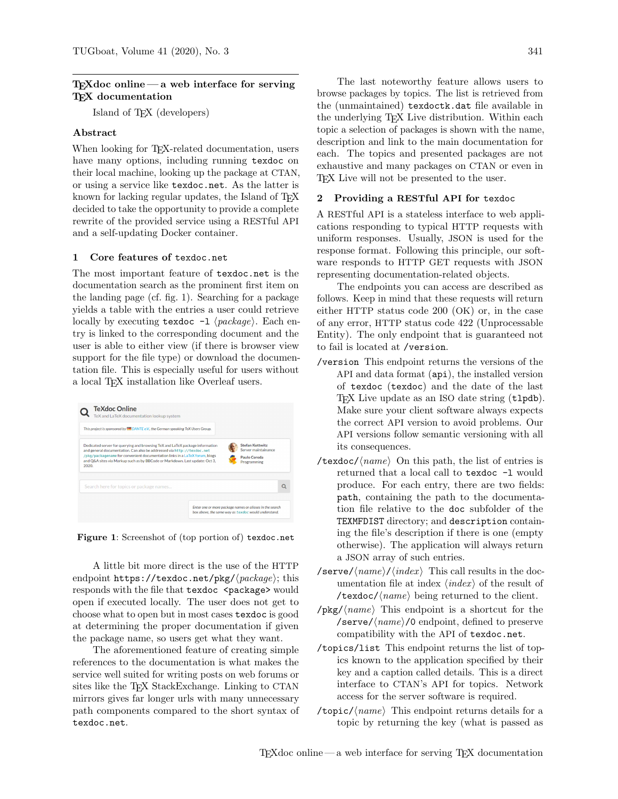### $T_{F}X$ doc online — a web interface for serving T<sub>EX</sub> documentation

Island of TEX (developers)

## Abstract

When looking for T<sub>E</sub>X-related documentation, users have many options, including running texdoc on their local machine, looking up the package at CTAN, or using a service like [texdoc.net](https://texdoc.net). As the latter is known for lacking regular updates, the Island of T<sub>F</sub>X decided to take the opportunity to provide a complete rewrite of the provided service using a RESTful API and a self-updating Docker container.

#### 1 Core features of [texdoc.net](https://texdoc.net)

The most important feature of [texdoc.net](https://texdoc.net) is the documentation search as the prominent first item on the landing page (cf. fig. [1\)](#page-0-0). Searching for a package yields a table with the entries a user could retrieve locally by executing texdoc  $-1 \langle package \rangle$ . Each entry is linked to the corresponding document and the user is able to either view (if there is browser view support for the file type) or download the documentation file. This is especially useful for users without a local TEX installation like Overleaf users.



<span id="page-0-0"></span>Figure 1: Screenshot of (top portion of) [texdoc.net](https://texdoc.net)

A little bit more direct is the use of the HTTP endpoint  $https://textdoc.net/pkg/(package); this$ responds with the file that texdoc <package> would open if executed locally. The user does not get to choose what to open but in most cases texdoc is good at determining the proper documentation if given the package name, so users get what they want.

The aforementioned feature of creating simple references to the documentation is what makes the service well suited for writing posts on web forums or sites like the T<sub>F</sub>X StackExchange. Linking to CTAN mirrors gives far longer urls with many unnecessary path components compared to the short syntax of [texdoc.net](https://texdoc.net).

The last noteworthy feature allows users to browse packages by topics. The list is retrieved from the (unmaintained) texdoctk.dat file available in the underlying TEX Live distribution. Within each topic a selection of packages is shown with the name, description and link to the main documentation for each. The topics and presented packages are not exhaustive and many packages on CTAN or even in TEX Live will not be presented to the user.

#### <span id="page-0-1"></span>2 Providing a RESTful API for texdoc

A RESTful API is a stateless interface to web applications responding to typical HTTP requests with uniform responses. Usually, JSON is used for the response format. Following this principle, our software responds to HTTP GET requests with JSON representing documentation-related objects.

The endpoints you can access are described as follows. Keep in mind that these requests will return either HTTP status code 200 (OK) or, in the case of any error, HTTP status code 422 (Unprocessable Entity). The only endpoint that is guaranteed not to fail is located at /version.

- /version This endpoint returns the versions of the API and data format (api), the installed version of texdoc (texdoc) and the date of the last TEX Live update as an ISO date string (tlpdb). Make sure your client software always expects the correct API version to avoid problems. Our API versions follow semantic versioning with all its consequences.
- /texdoc/ $\langle name \rangle$  On this path, the list of entries is returned that a local call to texdoc -l would produce. For each entry, there are two fields: path, containing the path to the documentation file relative to the doc subfolder of the TEXMFDIST directory; and description containing the file's description if there is one (empty otherwise). The application will always return a JSON array of such entries.
- /serve/ $\langle name \rangle / \langle index \rangle$  This call results in the documentation file at index  $\langle index \rangle$  of the result of /texdoc/ $\langle name \rangle$  being returned to the client.
- $\langle pkg \rangle$   $\langle name \rangle$  This endpoint is a shortcut for the /serve/ $\langle name \rangle$ /0 endpoint, defined to preserve compatibility with the API of [texdoc.net](https://texdoc.net).
- /topics/list This endpoint returns the list of topics known to the application specified by their key and a caption called details. This is a direct interface to CTAN's API for topics. Network access for the server software is required.
- /topic/ $\langle name \rangle$  This endpoint returns details for a topic by returning the key (what is passed as